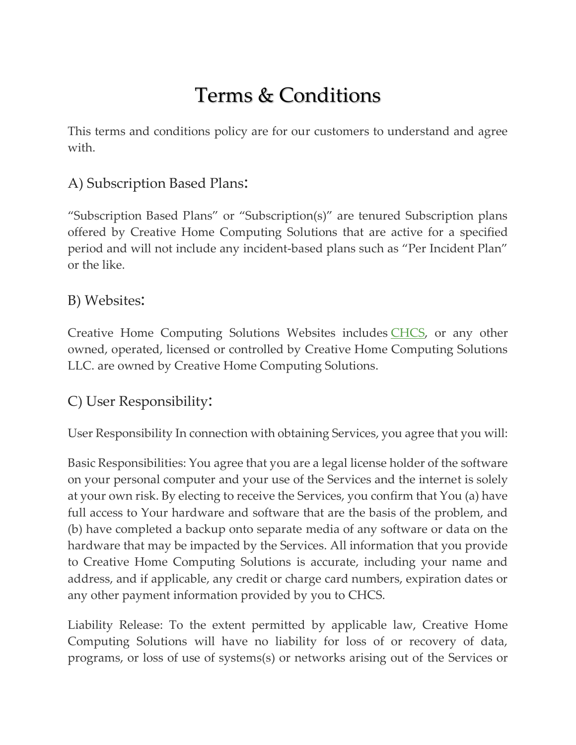## Terms & Conditions

This terms and conditions policy are for our customers to understand and agree with.

## A) Subscription Based Plans:

"Subscription Based Plans" or "Subscription(s)" are tenured Subscription plans offered by Creative Home Computing Solutions that are active for a specified period and will not include any incident-based plans such as "Per Incident Plan" or the like.

## B) Websites:

Creative Home Computing Solutions Websites includes [CHCS,](https://www.brchcs.com/) or any other owned, operated, licensed or controlled by Creative Home Computing Solutions LLC. are owned by Creative Home Computing Solutions.

## C) User Responsibility:

User Responsibility In connection with obtaining Services, you agree that you will:

Basic Responsibilities: You agree that you are a legal license holder of the software on your personal computer and your use of the Services and the internet is solely at your own risk. By electing to receive the Services, you confirm that You (a) have full access to Your hardware and software that are the basis of the problem, and (b) have completed a backup onto separate media of any software or data on the hardware that may be impacted by the Services. All information that you provide to Creative Home Computing Solutions is accurate, including your name and address, and if applicable, any credit or charge card numbers, expiration dates or any other payment information provided by you to CHCS.

Liability Release: To the extent permitted by applicable law, Creative Home Computing Solutions will have no liability for loss of or recovery of data, programs, or loss of use of systems(s) or networks arising out of the Services or